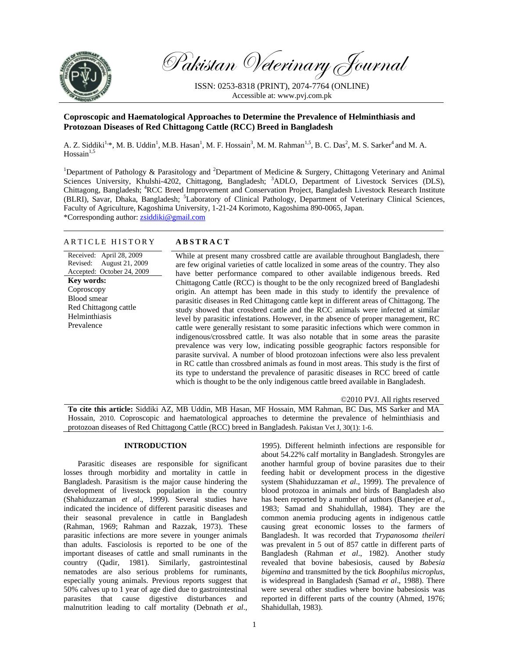

Pakistan Veterinary Journal

ISSN: 0253-8318 (PRINT), 2074-7764 (ONLINE) Accessible at: www.pvj.com.pk

# **Coproscopic and Haematological Approaches to Determine the Prevalence of Helminthiasis and Protozoan Diseases of Red Chittagong Cattle (RCC) Breed in Bangladesh**

A. Z. Siddiki<sup>1,\*</sup>, M. B. Uddin<sup>1</sup>, M.B. Hasan<sup>1</sup>, M. F. Hossain<sup>3</sup>, M. M. Rahman<sup>1,5</sup>, B. C. Das<sup>2</sup>, M. S. Sarker<sup>4</sup> and M. A. Hossain $1,5$ 

<sup>1</sup>Department of Pathology & Parasitology and <sup>2</sup>Department of Medicine & Surgery, Chittagong Veterinary and Animal Sciences University, Khulshi-4202, Chittagong, Bangladesh; <sup>3</sup>ADLO, Department of Livestock Services (DLS), Chittagong, Bangladesh; <sup>4</sup>RCC Breed Improvement and Conservation Project, Bangladesh Livestock Research Institute (BLRI), Savar, Dhaka, Bangladesh; <sup>5</sup>Laboratory of Clinical Pathology, Department of Veterinary Clinical Sciences, Faculty of Agriculture, Kagoshima University, 1-21-24 Korimoto, Kagoshima 890-0065, Japan. \*Corresponding author: zsiddiki@gmail.com

# ARTICLE HISTORY **ABSTRACT**

## Received: April 28, 2009 Revised: August 21, 2009 Accepted: October 24, 2009 **Key words: Coproscopy**

Blood smear Red Chittagong cattle Helminthiasis Prevalence

While at present many crossbred cattle are available throughout Bangladesh, there are few original varieties of cattle localized in some areas of the country. They also have better performance compared to other available indigenous breeds. Red Chittagong Cattle (RCC) is thought to be the only recognized breed of Bangladeshi origin. An attempt has been made in this study to identify the prevalence of parasitic diseases in Red Chittagong cattle kept in different areas of Chittagong. The study showed that crossbred cattle and the RCC animals were infected at similar level by parasitic infestations. However, in the absence of proper management, RC cattle were generally resistant to some parasitic infections which were common in indigenous/crossbred cattle. It was also notable that in some areas the parasite prevalence was very low, indicating possible geographic factors responsible for parasite survival. A number of blood protozoan infections were also less prevalent in RC cattle than crossbred animals as found in most areas. This study is the first of its type to understand the prevalence of parasitic diseases in RCC breed of cattle which is thought to be the only indigenous cattle breed available in Bangladesh.

©2010 PVJ. All rights reserved **To cite this article:** Siddiki AZ, MB Uddin, MB Hasan, MF Hossain, MM Rahman, BC Das, MS Sarker and MA Hossain, 2010. Coproscopic and haematological approaches to determine the prevalence of helminthiasis and protozoan diseases of Red Chittagong Cattle (RCC) breed in Bangladesh. Pakistan Vet J, 30(1): 1-6.

## **INTRODUCTION**

Parasitic diseases are responsible for significant losses through morbidity and mortality in cattle in Bangladesh. Parasitism is the major cause hindering the development of livestock population in the country (Shahiduzzaman *et al*., 1999). Several studies have indicated the incidence of different parasitic diseases and their seasonal prevalence in cattle in Bangladesh (Rahman, 1969; Rahman and Razzak, 1973). These parasitic infections are more severe in younger animals than adults. Fasciolosis is reported to be one of the important diseases of cattle and small ruminants in the country (Qadir, 1981). Similarly, gastrointestinal nematodes are also serious problems for ruminants, especially young animals. Previous reports suggest that 50% calves up to 1 year of age died due to gastrointestinal parasites that cause digestive disturbances and malnutrition leading to calf mortality (Debnath *et al*.,

1995). Different helminth infections are responsible for about 54.22% calf mortality in Bangladesh. Strongyles are another harmful group of bovine parasites due to their feeding habit or development process in the digestive system (Shahiduzzaman *et al*., 1999). The prevalence of blood protozoa in animals and birds of Bangladesh also has been reported by a number of authors (Banerjee *et al*., 1983; Samad and Shahidullah, 1984). They are the common anemia producing agents in indigenous cattle causing great economic losses to the farmers of Bangladesh. It was recorded that *Trypanosoma theileri* was prevalent in 5 out of 857 cattle in different parts of Bangladesh (Rahman *et al*., 1982). Another study revealed that bovine babesiosis, caused by *Babesia bigemina* and transmitted by the tick *Boophilus microplus*, is widespread in Bangladesh (Samad *et al*., 1988). There were several other studies where bovine babesiosis was reported in different parts of the country (Ahmed, 1976; Shahidullah, 1983).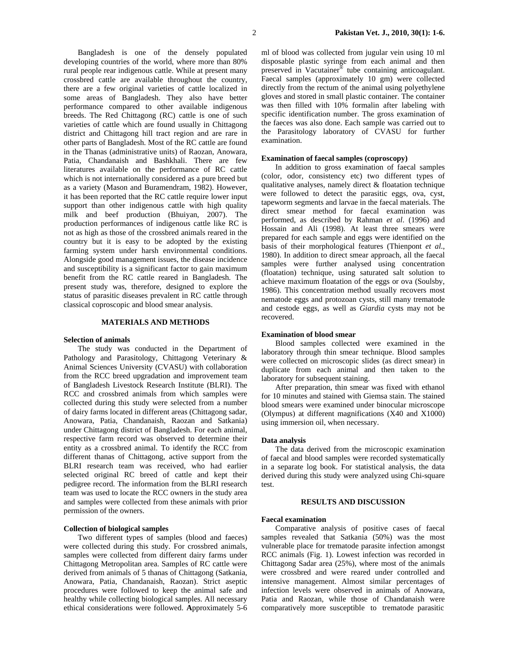Bangladesh is one of the densely populated developing countries of the world, where more than 80% rural people rear indigenous cattle. While at present many crossbred cattle are available throughout the country, there are a few original varieties of cattle localized in some areas of Bangladesh. They also have better performance compared to other available indigenous breeds. The Red Chittagong (RC) cattle is one of such varieties of cattle which are found usually in Chittagong district and Chittagong hill tract region and are rare in other parts of Bangladesh. Most of the RC cattle are found in the Thanas (administrative units) of Raozan, Anowara, Patia, Chandanaish and Bashkhali. There are few literatures available on the performance of RC cattle which is not internationally considered as a pure breed but as a variety (Mason and Buramendram, 1982). However, it has been reported that the RC cattle require lower input support than other indigenous cattle with high quality milk and beef production (Bhuiyan, 2007). The production performances of indigenous cattle like RC is not as high as those of the crossbred animals reared in the country but it is easy to be adopted by the existing farming system under harsh environmental conditions. Alongside good management issues, the disease incidence and susceptibility is a significant factor to gain maximum benefit from the RC cattle reared in Bangladesh. The present study was, therefore, designed to explore the status of parasitic diseases prevalent in RC cattle through classical coproscopic and blood smear analysis.

## **MATERIALS AND METHODS**

#### **Selection of animals**

The study was conducted in the Department of Pathology and Parasitology, Chittagong Veterinary & Animal Sciences University (CVASU) with collaboration from the RCC breed upgradation and improvement team of Bangladesh Livestock Research Institute (BLRI). The RCC and crossbred animals from which samples were collected during this study were selected from a number of dairy farms located in different areas (Chittagong sadar, Anowara, Patia, Chandanaish, Raozan and Satkania) under Chittagong district of Bangladesh. For each animal, respective farm record was observed to determine their entity as a crossbred animal. To identify the RCC from different thanas of Chittagong, active support from the BLRI research team was received, who had earlier selected original RC breed of cattle and kept their pedigree record. The information from the BLRI research team was used to locate the RCC owners in the study area and samples were collected from these animals with prior permission of the owners.

#### **Collection of biological samples**

 Two different types of samples (blood and faeces) were collected during this study. For crossbred animals, samples were collected from different dairy farms under Chittagong Metropolitan area. Samples of RC cattle were derived from animals of 5 thanas of Chittagong (Satkania, Anowara, Patia, Chandanaish, Raozan). Strict aseptic procedures were followed to keep the animal safe and healthy while collecting biological samples. All necessary ethical considerations were followed. **A**pproximately 5-6

ml of blood was collected from jugular vein using 10 ml disposable plastic syringe from each animal and then preserved in Vacutainer® tube containing anticoagulant. Faecal samples (approximately 10 gm) were collected directly from the rectum of the animal using polyethylene gloves and stored in small plastic container. The container was then filled with 10% formalin after labeling with specific identification number. The gross examination of the faeces was also done. Each sample was carried out to the Parasitology laboratory of CVASU for further examination.

## **Examination of faecal samples (coproscopy)**

In addition to gross examination of faecal samples (color, odor, consistency etc) two different types of qualitative analyses, namely direct & floatation technique were followed to detect the parasitic eggs, ova, cyst, tapeworm segments and larvae in the faecal materials. The direct smear method for faecal examination was performed, as described by Rahman *et al*. (1996) and Hossain and Ali (1998). At least three smears were prepared for each sample and eggs were identified on the basis of their morphological features (Thienpont *et al*., 1980). In addition to direct smear approach, all the faecal samples were further analysed using concentration (floatation) technique, using saturated salt solution to achieve maximum floatation of the eggs or ova (Soulsby, 1986). This concentration method usually recovers most nematode eggs and protozoan cysts, still many trematode and cestode eggs, as well as *Giardia* cysts may not be recovered.

## **Examination of blood smear**

 Blood samples collected were examined in the laboratory through thin smear technique. Blood samples were collected on microscopic slides (as direct smear) in duplicate from each animal and then taken to the laboratory for subsequent staining.

 After preparation, thin smear was fixed with ethanol for 10 minutes and stained with Giemsa stain. The stained blood smears were examined under binocular microscope (Olympus) at different magnifications (X40 and X1000) using immersion oil, when necessary.

#### **Data analysis**

 The data derived from the microscopic examination of faecal and blood samples were recorded systematically in a separate log book. For statistical analysis, the data derived during this study were analyzed using Chi-square test.

## **RESULTS AND DISCUSSION**

#### **Faecal examination**

Comparative analysis of positive cases of faecal samples revealed that Satkania (50%) was the most vulnerable place for trematode parasite infection amongst RCC animals (Fig. 1). Lowest infection was recorded in Chittagong Sadar area (25%), where most of the animals were crossbred and were reared under controlled and intensive management. Almost similar percentages of infection levels were observed in animals of Anowara, Patia and Raozan, while those of Chandanaish were comparatively more susceptible to trematode parasitic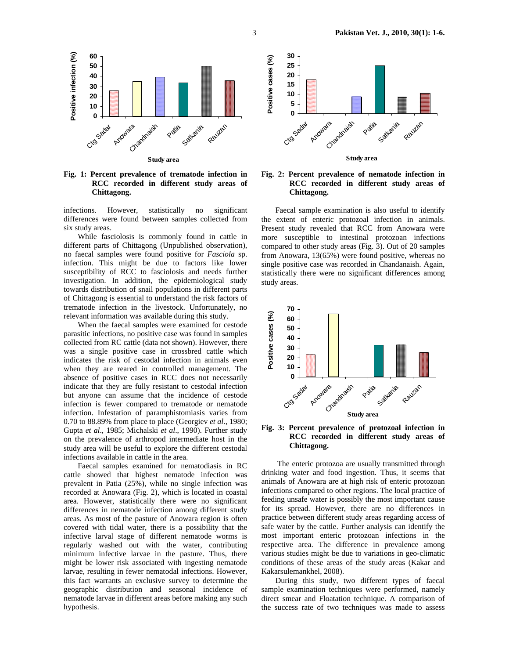

**Fig. 1: Percent prevalence of trematode infection in RCC recorded in different study areas of Chittagong.** 

infections. However, statistically no significant differences were found between samples collected from six study areas.

While fasciolosis is commonly found in cattle in different parts of Chittagong (Unpublished observation), no faecal samples were found positive for *Fasciola* sp. infection. This might be due to factors like lower susceptibility of RCC to fasciolosis and needs further investigation. In addition, the epidemiological study towards distribution of snail populations in different parts of Chittagong is essential to understand the risk factors of trematode infection in the livestock. Unfortunately, no relevant information was available during this study.

When the faecal samples were examined for cestode parasitic infections, no positive case was found in samples collected from RC cattle (data not shown). However, there was a single positive case in crossbred cattle which indicates the risk of cestodal infection in animals even when they are reared in controlled management. The absence of positive cases in RCC does not necessarily indicate that they are fully resistant to cestodal infection but anyone can assume that the incidence of cestode infection is fewer compared to trematode or nematode infection. Infestation of paramphistomiasis varies from 0.70 to 88.89% from place to place (Georgiev *et al*., 1980; Gupta *et al*., 1985; Michalski *et al*., 1990). Further study on the prevalence of arthropod intermediate host in the study area will be useful to explore the different cestodal infections available in cattle in the area.

Faecal samples examined for nematodiasis in RC cattle showed that highest nematode infection was prevalent in Patia (25%), while no single infection was recorded at Anowara (Fig. 2), which is located in coastal area. However, statistically there were no significant differences in nematode infection among different study areas. As most of the pasture of Anowara region is often covered with tidal water, there is a possibility that the infective larval stage of different nematode worms is regularly washed out with the water, contributing minimum infective larvae in the pasture. Thus, there might be lower risk associated with ingesting nematode larvae, resulting in fewer nematodal infections. However, this fact warrants an exclusive survey to determine the geographic distribution and seasonal incidence of nematode larvae in different areas before making any such hypothesis.



## **Fig. 2: Percent prevalence of nematode infection in RCC recorded in different study areas of Chittagong.**

Faecal sample examination is also useful to identify the extent of enteric protozoal infection in animals. Present study revealed that RCC from Anowara were more susceptible to intestinal protozoan infections compared to other study areas (Fig. 3). Out of 20 samples from Anowara, 13(65%) were found positive, whereas no single positive case was recorded in Chandanaish. Again, statistically there were no significant differences among study areas.



**Fig. 3: Percent prevalence of protozoal infection in RCC recorded in different study areas of Chittagong.** 

 The enteric protozoa are usually transmitted through drinking water and food ingestion. Thus, it seems that animals of Anowara are at high risk of enteric protozoan infections compared to other regions. The local practice of feeding unsafe water is possibly the most important cause for its spread. However, there are no differences in practice between different study areas regarding access of safe water by the cattle. Further analysis can identify the most important enteric protozoan infections in the respective area. The difference in prevalence among various studies might be due to variations in geo-climatic conditions of these areas of the study areas (Kakar and Kakarsulemankhel, 2008).

During this study, two different types of faecal sample examination techniques were performed, namely direct smear and Floatation technique. A comparison of the success rate of two techniques was made to assess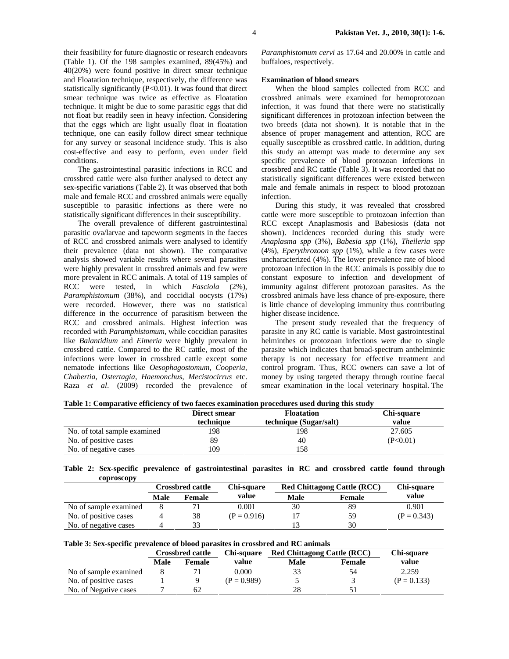their feasibility for future diagnostic or research endeavors (Table 1). Of the 198 samples examined, 89(45%) and 40(20%) were found positive in direct smear technique and Floatation technique, respectively, the difference was statistically significantly (P<0.01). It was found that direct smear technique was twice as effective as Floatation technique. It might be due to some parasitic eggs that did not float but readily seen in heavy infection. Considering that the eggs which are light usually float in floatation technique, one can easily follow direct smear technique for any survey or seasonal incidence study. This is also cost-effective and easy to perform, even under field conditions.

The gastrointestinal parasitic infections in RCC and crossbred cattle were also further analysed to detect any sex-specific variations (Table 2). It was observed that both male and female RCC and crossbred animals were equally susceptible to parasitic infections as there were no statistically significant differences in their susceptibility.

The overall prevalence of different gastrointestinal parasitic ova/larvae and tapeworm segments in the faeces of RCC and crossbred animals were analysed to identify their prevalence (data not shown). The comparative analysis showed variable results where several parasites were highly prevalent in crossbred animals and few were more prevalent in RCC animals. A total of 119 samples of RCC were tested, in which *Fasciola* (2%), *Paramphistomum* (38%), and coccidial oocysts (17%) were recorded. However, there was no statistical difference in the occurrence of parasitism between the RCC and crossbred animals. Highest infection was recorded with *Paramphistomum*, while coccidian parasites like *Balantidium* and *Eimeria* were highly prevalent in crossbred cattle. Compared to the RC cattle, most of the infections were lower in crossbred cattle except some nematode infections like *Oesophagostomum, Cooperia, Chabertia, Ostertagia, Haemonchus, Mecistocirrus* etc. Raza *et al*. (2009) recorded the prevalence of

*Paramphistomum cervi* as 17.64 and 20.00% in cattle and buffaloes, respectively.

#### **Examination of blood smears**

 When the blood samples collected from RCC and crossbred animals were examined for hemoprotozoan infection, it was found that there were no statistically significant differences in protozoan infection between the two breeds (data not shown). It is notable that in the absence of proper management and attention, RCC are equally susceptible as crossbred cattle. In addition, during this study an attempt was made to determine any sex specific prevalence of blood protozoan infections in crossbred and RC cattle (Table 3). It was recorded that no statistically significant differences were existed between male and female animals in respect to blood protozoan infection.

 During this study, it was revealed that crossbred cattle were more susceptible to protozoan infection than RCC except Anaplasmosis and Babesiosis (data not shown). Incidences recorded during this study were *Anaplasma spp* (3%), *Babesia spp* (1%), *Theileria spp* (4%), *Eperythrozoon spp* (1%), while a few cases were uncharacterized (4%). The lower prevalence rate of blood protozoan infection in the RCC animals is possibly due to constant exposure to infection and development of immunity against different protozoan parasites. As the crossbred animals have less chance of pre-exposure, there is little chance of developing immunity thus contributing higher disease incidence.

 The present study revealed that the frequency of parasite in any RC cattle is variable. Most gastrointestinal helminthes or protozoan infections were due to single parasite which indicates that broad-spectrum anthelmintic therapy is not necessary for effective treatment and control program. Thus, RCC owners can save a lot of money by using targeted therapy through routine faecal smear examination in the local veterinary hospital. The

|  |  | Table 1: Comparative efficiency of two faeces examination procedures used during this study |
|--|--|---------------------------------------------------------------------------------------------|
|  |  |                                                                                             |

|                              | Direct smear | <b>Floatation</b>      | Chi-square |
|------------------------------|--------------|------------------------|------------|
|                              | technique    | technique (Sugar/salt) | value      |
| No. of total sample examined | 198          | 198                    | 27.605     |
| No. of positive cases        | 89           | 40                     | (P<0.01)   |
| No. of negative cases        | 109          | 158                    |            |

|  |            |  | Table 2: Sex-specific prevalence of gastrointestinal parasites in RC and crossbred cattle found through |  |  |  |  |
|--|------------|--|---------------------------------------------------------------------------------------------------------|--|--|--|--|
|  | coproscopy |  |                                                                                                         |  |  |  |  |

|                       | <b>Crossbred cattle</b> |        | Chi-square    | <b>Red Chittagong Cattle (RCC)</b> | Chi-square    |               |
|-----------------------|-------------------------|--------|---------------|------------------------------------|---------------|---------------|
|                       | Male                    | Female | value         | <b>Male</b>                        | <b>Female</b> | value         |
| No of sample examined |                         |        | 0.001         | 30                                 | 89            | 0.901         |
| No. of positive cases |                         | 38     | $(P = 0.916)$ |                                    | 59            | $(P = 0.343)$ |
| No. of negative cases |                         | 33     |               |                                    | 30            |               |

|  |  | Table 3: Sex-specific prevalence of blood parasites in crossbred and RC animals |  |
|--|--|---------------------------------------------------------------------------------|--|
|--|--|---------------------------------------------------------------------------------|--|

|                       | <b>Crossbred cattle</b> |        | Chi-square    | <b>Red Chittagong Cattle (RCC)</b> | Chi-square |               |  |
|-----------------------|-------------------------|--------|---------------|------------------------------------|------------|---------------|--|
|                       | Male                    | Female | value         | Male                               | Female     | value         |  |
| No of sample examined |                         |        | 0.000         | 33                                 | 54         | 2.259         |  |
| No. of positive cases |                         |        | $(P = 0.989)$ |                                    |            | $(P = 0.133)$ |  |
| No. of Negative cases |                         | 62     |               | 28                                 |            |               |  |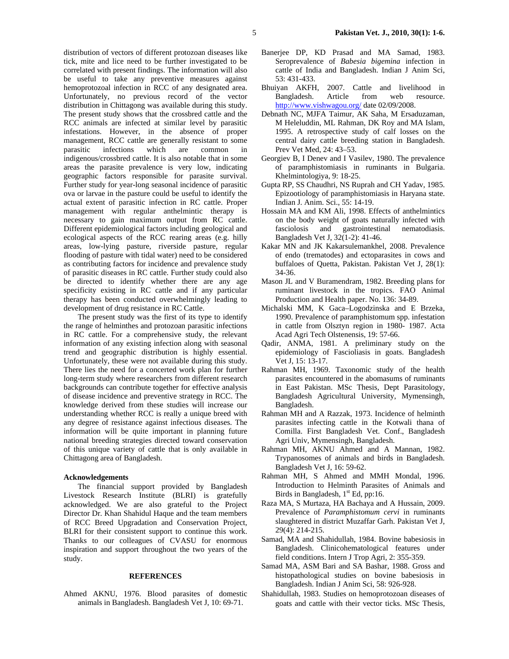distribution of vectors of different protozoan diseases like tick, mite and lice need to be further investigated to be correlated with present findings. The information will also be useful to take any preventive measures against hemoprotozoal infection in RCC of any designated area. Unfortunately, no previous record of the vector distribution in Chittagong was available during this study. The present study shows that the crossbred cattle and the RCC animals are infected at similar level by parasitic infestations. However, in the absence of proper management, RCC cattle are generally resistant to some parasitic infections which are common in indigenous/crossbred cattle. It is also notable that in some areas the parasite prevalence is very low, indicating geographic factors responsible for parasite survival. Further study for year-long seasonal incidence of parasitic ova or larvae in the pasture could be useful to identify the actual extent of parasitic infection in RC cattle. Proper management with regular anthelmintic therapy is necessary to gain maximum output from RC cattle. Different epidemiological factors including geological and ecological aspects of the RCC rearing areas (e.g. hilly areas, low-lying pasture, riverside pasture, regular flooding of pasture with tidal water) need to be considered as contributing factors for incidence and prevalence study of parasitic diseases in RC cattle. Further study could also be directed to identify whether there are any age specificity existing in RC cattle and if any particular therapy has been conducted overwhelmingly leading to development of drug resistance in RC Cattle.

The present study was the first of its type to identify the range of helminthes and protozoan parasitic infections in RC cattle. For a comprehensive study, the relevant information of any existing infection along with seasonal trend and geographic distribution is highly essential. Unfortunately, these were not available during this study. There lies the need for a concerted work plan for further long-term study where researchers from different research backgrounds can contribute together for effective analysis of disease incidence and preventive strategy in RCC. The knowledge derived from these studies will increase our understanding whether RCC is really a unique breed with any degree of resistance against infectious diseases. The information will be quite important in planning future national breeding strategies directed toward conservation of this unique variety of cattle that is only available in Chittagong area of Bangladesh.

#### **Acknowledgements**

The financial support provided by Bangladesh Livestock Research Institute (BLRI) is gratefully acknowledged. We are also grateful to the Project Director Dr. Khan Shahidul Haque and the team members of RCC Breed Upgradation and Conservation Project, BLRI for their consistent support to continue this work. Thanks to our colleagues of CVASU for enormous inspiration and support throughout the two years of the study.

# **REFERENCES**

Ahmed AKNU, 1976. Blood parasites of domestic animals in Bangladesh. Bangladesh Vet J, 10: 69-71.

- Banerjee DP, KD Prasad and MA Samad, 1983. Seroprevalence of *Babesia bigemina* infection in
- cattle of India and Bangladesh. Indian J Anim Sci, 53: 431-433. Bhuiyan AKFH, 2007. Cattle and livelihood in Bangladesh. Article from web resource.
- http://www.vishwagou.org/ date 02/09/2008. Debnath NC, MJFA Taimur, AK Saha, M Ersaduzaman, M Heleluddin, ML Rahman, DK Roy and MA Islam, 1995. A retrospective study of calf losses on the central dairy cattle breeding station in Bangladesh. Prev Vet Med, 24: 43–53.
- Georgiev B, I Denev and I Vasilev, 1980. The prevalence of paramphistomiasis in ruminants in Bulgaria. Khelmintologiya, 9: 18-25.
- Gupta RP, SS Chaudhri, NS Ruprah and CH Yadav, 1985. Epizootiology of paramphistomiasis in Haryana state. Indian J. Anim. Sci., 55: 14-19.
- Hossain MA and KM Ali, 1998. Effects of anthelmintics on the body weight of goats naturally infected with fasciolosis and gastrointestinal nematodiasis. Bangladesh Vet J, 32(1-2): 41-46.
- Kakar MN and JK Kakarsulemankhel, 2008. Prevalence of endo (trematodes) and ectoparasites in cows and buffaloes of Quetta, Pakistan. Pakistan Vet J, 28(1): 34-36.
- Mason JL and V Buramendram, 1982. Breeding plans for ruminant livestock in the tropics. FAO Animal Production and Health paper. No. 136: 34-89.
- Michalski MM, K Gaca–Logodzinska and E Brzeka, 1990. Prevalence of paramphistomum spp. infestation in cattle from Olsztyn region in 1980- 1987. Acta Acad Agri Tech Olstenensis, 19: 57-66.
- Qadir, ANMA, 1981. A preliminary study on the epidemiology of Fascioliasis in goats. Bangladesh Vet J, 15: 13-17.
- Rahman MH, 1969. Taxonomic study of the health parasites encountered in the abomasums of ruminants in East Pakistan. MSc Thesis, Dept Parasitology, Bangladesh Agricultural University, Mymensingh, Bangladesh.
- Rahman MH and A Razzak, 1973. Incidence of helminth parasites infecting cattle in the Kotwali thana of Comilla. First Bangladesh Vet. Conf., Bangladesh Agri Univ, Mymensingh, Bangladesh.
- Rahman MH, AKNU Ahmed and A Mannan, 1982. Trypanosomes of animals and birds in Bangladesh. Bangladesh Vet J, 16: 59-62.
- Rahman MH, S Ahmed and MMH Mondal, 1996. Introduction to Helminth Parasites of Animals and Birds in Bangladesh,  $1<sup>st</sup> Ed$ , pp:16.
- Raza MA, S Murtaza, HA Bachaya and A Hussain, 2009. Prevalence of *Paramphistomum cervi* in ruminants slaughtered in district Muzaffar Garh. Pakistan Vet J, 29(4): 214-215.
- Samad, MA and Shahidullah, 1984. Bovine babesiosis in Bangladesh. Clinicohematological features under field conditions. Intern J Trop Agri, 2: 355-359.
- Samad MA, ASM Bari and SA Bashar, 1988. Gross and histopathological studies on bovine babesiosis in Bangladesh. Indian J Anim Sci, 58: 926-928.
- Shahidullah, 1983. Studies on hemoprotozoan diseases of goats and cattle with their vector ticks. MSc Thesis,